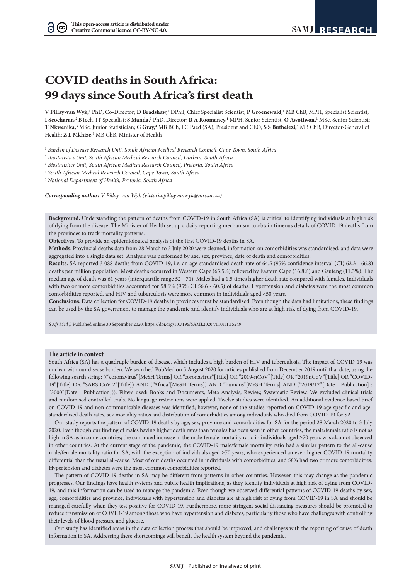# **COVID deaths in South Africa: 99 days since South Africa's first death**

V Pillay-van Wyk,<sup>1</sup> PhD, Co-Director; D Bradshaw,<sup>1</sup> DPhil, Chief Specialist Scientist; P Groenewald,<sup>1</sup> MB ChB, MPH, Specialist Scientist; **I Seocharan,2** BTech, IT Specialist; **S Manda,3** PhD, Director; **R A Roomaney,1** MPH, Senior Scientist; **O Awotiwon,1** MSc, Senior Scientist; T Nkwenika,<sup>3</sup> MSc, Junior Statistician; G Gray,<sup>4</sup> MB BCh, FC Paed (SA), President and CEO; S S Buthelezi,<sup>5</sup> MB ChB, Director-General of Health; Z L Mkhize,<sup>5</sup> MB ChB, Minister of Health

<sup>1</sup> *Burden of Disease Research Unit, South African Medical Research Council, Cape Town, South Africa*

<sup>2</sup> *Biostatistics Unit, South African Medical Research Council, Durban, South Africa*

<sup>3</sup> *Biostatistics Unit, South African Medical Research Council, Pretoria, South Africa*

<sup>4</sup> *South African Medical Research Council, Cape Town, South Africa*

<sup>5</sup> *National Department of Health, Pretoria, South Africa*

*Corresponding author: V Pillay-van Wyk (victoria.pillayvanwyk@mrc.ac.za)*

**Background.** Understanding the pattern of deaths from COVID-19 in South Africa (SA) is critical to identifying individuals at high risk of dying from the disease. The Minister of Health set up a daily reporting mechanism to obtain timeous details of COVID-19 deaths from the provinces to track mortality patterns.

**Objectives.** To provide an epidemiological analysis of the first COVID-19 deaths in SA.

**Methods.** Provincial deaths data from 28 March to 3 July 2020 were cleaned, information on comorbidities was standardised, and data were aggregated into a single data set. Analysis was performed by age, sex, province, date of death and comorbidities.

**Results.** SA reported 3 088 deaths from COVID-19, i.e. an age-standardised death rate of 64.5 (95% confidence interval (CI) 62.3 - 66.8) deaths per million population. Most deaths occurred in Western Cape (65.5%) followed by Eastern Cape (16.8%) and Gauteng (11.3%). The median age of death was 61 years (interquartile range 52 - 71). Males had a 1.5 times higher death rate compared with females. Individuals with two or more comorbidities accounted for 58.6% (95% CI 56.6 - 60.5) of deaths. Hypertension and diabetes were the most common comorbidities reported, and HIV and tuberculosis were more common in individuals aged <50 years.

**Conclusions.** Data collection for COVID-19 deaths in provinces must be standardised. Even though the data had limitations, these findings can be used by the SA government to manage the pandemic and identify individuals who are at high risk of dying from COVID-19.

*S Afr Med J.* Published online 30 September 2020. https://doi.org/10.7196/SAMJ.2020.v110i11.15249

### **The article in context**

South Africa (SA) has a quadruple burden of disease, which includes a high burden of HIV and tuberculosis. The impact of COVID-19 was unclear with our disease burden. We searched PubMed on 5 August 2020 for articles published from December 2019 until that date, using the following search string: (("coronavirus"[MeSH Terms] OR "coronavirus"[Title] OR "2019-nCoV"[Title] OR "2019nCoV"[Title] OR "COVID-19"[Title] OR "SARS-CoV-2"[Title]) AND ("Africa"[MeSH Terms]) AND "humans"[MeSH Terms] AND ("2019/12"[Date - Publication] : "3000"[Date - Publication])). Filters used: Books and Documents, Meta-Analysis, Review, Systematic Review. We excluded clinical trials and randomised controlled trials. No language restrictions were applied. Twelve studies were identified. An additional evidence-based brief on COVID-19 and non-communicable diseases was identified; however, none of the studies reported on COVID-19 age-specific and agestandardised death rates, sex mortality ratios and distribution of comorbidities among individuals who died from COVID-19 for SA.

Our study reports the pattern of COVID-19 deaths by age, sex, province and comorbidities for SA for the period 28 March 2020 to 3 July 2020. Even though our finding of males having higher death rates than females has been seen in other countries, the male/female ratio is not as high in SA as in some countries; the continued increase in the male-female mortality ratio in individuals aged ≥70 years was also not observed in other countries. At the current stage of the pandemic, the COVID-19 male/female mortality ratio had a similar pattern to the all-cause male/female mortality ratio for SA, with the exception of individuals aged ≥70 years, who experienced an even higher COVID-19 mortality differential than the usual all-cause. Most of our deaths occurred in individuals with comorbidities, and 58% had two or more comorbidities. Hypertension and diabetes were the most common comorbidities reported.

The pattern of COVID-19 deaths in SA may be different from patterns in other countries. However, this may change as the pandemic progresses. Our findings have health systems and public health implications, as they identify individuals at high risk of dying from COVID-19, and this information can be used to manage the pandemic. Even though we observed differential patterns of COVID-19 deaths by sex, age, comorbidities and province, individuals with hypertension and diabetes are at high risk of dying from COVID-19 in SA and should be managed carefully when they test positive for COVID-19. Furthermore, more stringent social distancing measures should be promoted to reduce transmission of COVID-19 among those who have hypertension and diabetes, particularly those who have challenges with controlling their levels of blood pressure and glucose.

Our study has identified areas in the data collection process that should be improved, and challenges with the reporting of cause of death information in SA. Addressing these shortcomings will benefit the health system beyond the pandemic.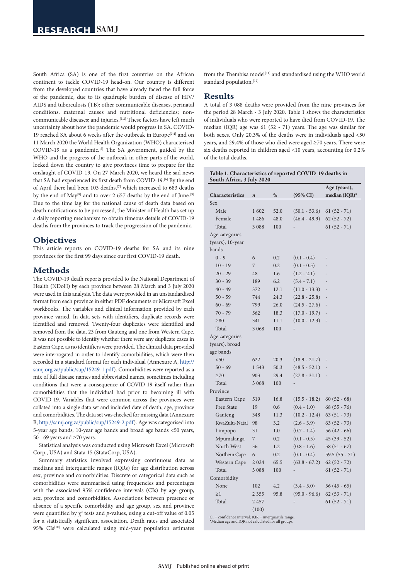South Africa (SA) is one of the first countries on the African continent to tackle COVID-19 head-on. Our country is different from the developed countries that have already faced the full force of the pandemic, due to its quadruple burden of disease of HIV/ AIDS and tuberculosis (TB); other communicable diseases, perinatal conditions, maternal causes and nutritional deficiencies; noncommunicable diseases; and injuries.<sup>[1,2]</sup> These factors have left much uncertainty about how the pandemic would progress in SA. COVID-19 reached SA about 6 weeks after the outbreak in Europe<sup>[3,4]</sup> and on 11 March 2020 the World Health Organization (WHO) characterised COVID-19 as a pandemic.<sup>[5]</sup> The SA government, guided by the WHO and the progress of the outbreak in other parts of the world, locked down the country to give provinces time to prepare for the onslaught of COVID-19. On 27 March 2020, we heard the sad news that SA had experienced its first death from COVID-19.<sup>[6]</sup> By the end of April there had been 103 deaths,[7] which increased to 683 deaths by the end of May<sup>[8]</sup> and to over 2 657 deaths by the end of June.<sup>[9]</sup> Due to the time lag for the national cause of death data based on death notifications to be processed, the Minister of Health has set up a daily reporting mechanism to obtain timeous details of COVID-19 deaths from the provinces to track the progression of the pandemic.

# **Objectives**

This article reports on COVID-19 deaths for SA and its nine provinces for the first 99 days since our first COVID-19 death.

# **Methods**

The COVID-19 death reports provided to the National Department of Health (NDoH) by each province between 28 March and 3 July 2020 were used in this analysis. The data were provided in an unstandardised format from each province in either PDF documents or Microsoft Excel workbooks. The variables and clinical information provided by each province varied. In data sets with identifiers, duplicate records were identified and removed. Twenty-four duplicates were identified and removed from the data, 23 from Gauteng and one from Western Cape. It was not possible to identify whether there were any duplicate cases in Eastern Cape, as no identifiers were provided. The clinical data provided were interrogated in order to identify comorbidities, which were then recorded in a standard format for each individual (Annexure A, [http://](http://samj.org.za/public/sup/15249-1.pdf) [samj.org.za/public/sup/15249-1.pdf](http://samj.org.za/public/sup/15249-1.pdf)). Comorbidities were reported as a mix of full disease names and abbreviated names, sometimes including conditions that were a consequence of COVID-19 itself rather than comorbidities that the individual had prior to becoming ill with COVID-19. Variables that were common across the provinces were collated into a single data set and included date of death, age, province and comorbidities. The data set was checked for missing data (Annexure B, <http://samj.org.za/public/sup/15249-2.pdf>). Age was categorised into 5-year age bands, 10-year age bands and broad age bands <50 years, 50 - 69 years and ≥70 years.

Statistical analysis was conducted using Microsoft Excel (Microsoft Corp., USA) and Stata 15 (StataCorp, USA).

Summary statistics involved expressing continuous data as medians and interquartile ranges (IQRs) for age distribution across sex, province and comorbidities. Discrete or categorical data such as comorbidities were summarised using frequencies and percentages with the associated 95% confidence intervals (CIs) by age group, sex, province and comorbidities. Associations between presence or absence of a specific comorbidity and age group, sex and province were quantified by  $\chi^2$  tests and p-values, using a cut-off value of 0.05 for a statistically significant association. Death rates and associated 95% CIs<sup>[10]</sup> were calculated using mid-year population estimates

from the Thembisa model<sup>[11]</sup> and standardised using the WHO world standard population.[12]

## **Results**

A total of 3 088 deaths were provided from the nine provinces for the period 28 March - 3 July 2020. Table 1 shows the characteristics of individuals who were reported to have died from COVID-19. The median (IQR) age was 61 (52 - 71) years. The age was similar for both sexes. Only 20.3% of the deaths were in individuals aged <50 years, and 29.4% of those who died were aged ≥70 years. There were six deaths reported in children aged <10 years, accounting for 0.2% of the total deaths.

| Table 1. Characteristics of reported COVID-19 deaths in |
|---------------------------------------------------------|
| South Africa, 3 July 2020                               |

| Characteristics  | $\boldsymbol{n}$ | $\%$ | $(95\% \text{ CI})$ | Age (years),<br>median (IQR)* |
|------------------|------------------|------|---------------------|-------------------------------|
| Sex              |                  |      |                     |                               |
| Male             | 1602             | 52.0 | $(50.1 - 53.6)$     | $61(52 - 71)$                 |
| Female           | 1486             | 48.0 | $(46.4 - 49.9)$     | $62(52 - 72)$                 |
| Total            | 3 0 8 8          | 100  |                     | $61(52 - 71)$                 |
| Age categories   |                  |      |                     |                               |
| (years), 10-year |                  |      |                     |                               |
| bands            |                  |      |                     |                               |
| $0 - 9$          | 6                | 0.2  | $(0.1 - 0.4)$       |                               |
| $10 - 19$        | $\overline{7}$   | 0.2  | $(0.1 - 0.5)$       |                               |
| $20 - 29$        | 48               | 1.6  | $(1.2 - 2.1)$       |                               |
| $30 - 39$        | 189              | 6.2  | $(5.4 - 7.1)$       |                               |
| $40 - 49$        | 372              | 12.1 | $(11.0 - 13.3)$     |                               |
| $50 - 59$        | 744              | 24.3 | $(22.8 - 25.8)$     |                               |
| $60 - 69$        | 799              | 26.0 | $(24.5 - 27.6)$     |                               |
| $70 - 79$        | 562              | 18.3 | $(17.0 - 19.7)$     |                               |
| $\geq 80$        | 341              | 11.1 | $(10.0 - 12.3)$     |                               |
| Total            | 3 0 6 8          | 100  |                     |                               |
| Age categories   |                  |      |                     |                               |
| (years), broad   |                  |      |                     |                               |
| age bands        |                  |      |                     |                               |
| < 50             | 622              | 20.3 | $(18.9 - 21.7)$     |                               |
| $50 - 69$        | 1543             | 50.3 | $(48.5 - 52.1)$     |                               |
| $\geq 70$        | 903              | 29.4 | $(27.8 - 31.1)$     |                               |
| Total            | 3 0 6 8          | 100  |                     |                               |
| Province         |                  |      |                     |                               |
| Eastern Cape     | 519              | 16.8 | $(15.5 - 18.2)$     | $60(52 - 68)$                 |
| Free State       | 19               | 0.6  | $(0.4 - 1.0)$       | $68(55 - 76)$                 |
| Gauteng          | 348              | 11.3 | $(10.2 - 12.4)$     | $63(51 - 73)$                 |
| KwaZulu-Natal    | 98               | 3.2  | $(2.6 - 3.9)$       | $63(52 - 73)$                 |
| Limpopo          | 31               | 1.0  | $(0.7 - 1.4)$       | $56(42-66)$                   |
| Mpumalanga       | 7                | 0.2  | $(0.1 - 0.5)$       | $45(39-52)$                   |
| North West       | 36               | 1.2  | $(0.8 - 1.6)$       | $58(51 - 67)$                 |
| Northern Cape    | 6                | 0.2  | $(0.1 - 0.4)$       | $59.5(55 - 71)$               |
| Western Cape     | 2024             | 65.5 | $(63.8 - 67.2)$     | $62(52 - 72)$                 |
| Total            | 3 0 8 8          | 100  |                     | $61(52 - 71)$                 |
| Comorbidity      |                  |      |                     |                               |
| None             | 102              | 4.2  | $(3.4 - 5.0)$       | 56 (45 - 65)                  |
| >1               | 2 3 5 5          | 95.8 | $(95.0 - 96.6)$     | $62(53 - 71)$                 |
| Total            | 2457             |      |                     | $61(52 - 71)$                 |
|                  | (100)            |      |                     |                               |

CI = confidence interval; IQR = interquartile range. \*Median age and IQR not calculated for all groups.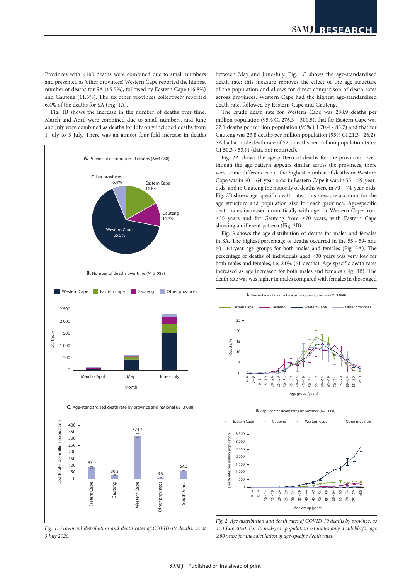Provinces with <100 deaths were combined due to small numbers and presented as 'other provinces'. Western Cape reported the highest number of deaths for SA (65.5%), followed by Eastern Cape (16.8%) and Gauteng (11.3%). The six other provinces collectively reported 6.4% of the deaths for SA (Fig. 1A).

Fig. 1B shows the increase in the number of deaths over time. March and April were combined due to small numbers, and June and July were combined as deaths for July only included deaths from 1 July to 3 July. There was an almost four-fold increase in deaths



*Fig. 1. Provincial distribution and death rates of COVID-19 deaths, as at 3 July 2020.*

between May and June-July. Fig. 1C shows the age-standardised death rate; this measure removes the effect of the age structure of the population and allows for direct comparison of death rates across provinces. Western Cape had the highest age-standardised death rate, followed by Eastern Cape and Gauteng.

The crude death rate for Western Cape was 288.9 deaths per million population (95% CI 276.3 - 301.5), that for Eastern Cape was 77.1 deaths per million population (95% CI 70.4 - 83.7) and that for Gauteng was 23.8 deaths per million population (95% CI 21.3 - 26.2). SA had a crude death rate of 52.1 deaths per million population (95% CI 50.3 - 53.9) (data not reported).

Fig. 2A shows the age pattern of deaths for the provinces. Even though the age pattern appears similar across the provinces, there were some differences, i.e. the highest number of deaths in Western Cape was in 60 - 64-year-olds, in Eastern Cape it was in 55 - 59-yearolds, and in Gauteng the majority of deaths were in 70 - 74-year-olds. Fig. 2B shows age-specific death rates; this measure accounts for the age structure and population size for each province. Age-specific death rates increased dramatically with age for Western Cape from ≥35 years and for Gauteng from ≥70 years, with Eastern Cape showing a different pattern (Fig. 2B).

Fig. 3 shows the age distribution of deaths for males and females in SA. The highest percentage of deaths occurred in the 55 - 59- and 60 - 64-year age groups for both males and females (Fig. 3A). The percentage of deaths of individuals aged <30 years was very low for both males and females, i.e. 2.0% (61 deaths). Age-specific death rates increased as age increased for both males and females (Fig. 3B). The death rate was was higher in males compared with females in those aged



*Fig. 2. Age distribution and death rates of COVID-19 deaths by province, as at 3 July 2020. For B, mid-year population estimates only available for age ≥80 years for the calculation of age-specific death rates.*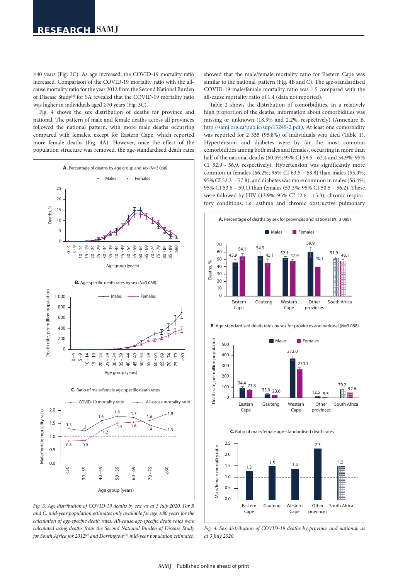≥40 years (Fig. 3C). As age increased, the COVID-19 mortality ratio increased. Comparison of the COVID-19 mortality ratio with the allcause mortality ratio for the year 2012 from the Second National Burden of Disease Study<sup>[2]</sup> for SA revealed that the COVID-19 mortality ratio was higher in individuals aged ≥70 years (Fig. 3C).

Fig. 4 shows the sex distribution of deaths for province and national. The pattern of male and female deaths across all provinces followed the national pattern, with more male deaths occurring compared with females, except for Eastern Cape, which reported more female deaths (Fig. 4A). However, once the effect of the population structure was removed, the age-standardised death rates



*Fig. 3. Age distribution of COVID-19 deaths by sex, as at 3 July 2020. For B and C, mid-year population estimates only available for age ≥80 years for the calculation of age-specific death rates. All-cause age-specific death rates were calculated using deaths from the Second National Burden of Disease Study for South Africa for 2012[2] and Dorrington[13] mid-year population estimates.*

showed that the male/female mortality ratio for Eastern Cape was similar to the national pattern (Fig. 4B and C). The age-standardised COVID-19 male/female mortality ratio was 1.5 compared with the all-cause mortality ratio of 1.4 (data not reported).

Table 2 shows the distribution of comorbidities. In a relatively high proportion of the deaths, information about comorbidities was missing or unknown (18.3% and 2.2%, respectively) (Annexure B, <http://samj.org.za/public/sup/15249-2.pdf>). At least one comorbidity was reported for 2 355 (95.8%) of individuals who died (Table 1). Hypertension and diabetes were by far the most common comorbidities among both males and females, occurring in more than half of the national deaths (60.5%; 95% CI 58.5 - 62.4 and 54.9%; 95% CI 52.9 - 56.9, respectively). Hypertension was significantly more common in females (66.2%; 95% CI 63.5 - 68.8) than males (55.0%; 95% CI 52.3 - 57.8), and diabetes was more common in males (56.4%; 95% CI 53.6 - 59.1) than females (53.3%; 95% CI 50.5 - 56.2). These were followed by HIV (13.9%; 95% CI 12.6 - 15.3), chronic respiratory conditions, i.e. asthma and chronic obstructive pulmonary



*Fig. 4. Sex distribution of COVID-19 deaths by province and national, as at 3 July 2020.*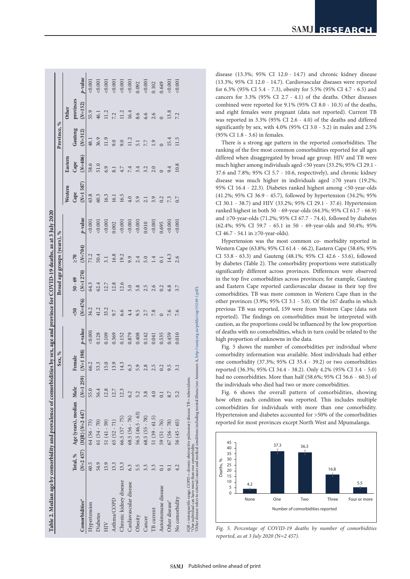| Table 2. Median age by comorbidity and prevalence of comorbidities by sex, age and province for COVID-19 deaths, as at 3 July 2020                                                                                                                                                                        |      |                                   |             |            |            |           |                             |             |            |            |           |             |              |         |
|-----------------------------------------------------------------------------------------------------------------------------------------------------------------------------------------------------------------------------------------------------------------------------------------------------------|------|-----------------------------------|-------------|------------|------------|-----------|-----------------------------|-------------|------------|------------|-----------|-------------|--------------|---------|
|                                                                                                                                                                                                                                                                                                           |      |                                   |             | Sex, %     |            |           | Broad age groups (years), % |             |            |            |           | Province, % |              |         |
|                                                                                                                                                                                                                                                                                                           |      |                                   |             |            |            |           |                             |             |            | Western    | Eastern   |             | <b>Other</b> |         |
|                                                                                                                                                                                                                                                                                                           |      | Total, % Age (years), median Male |             | Female     |            | &50       | $50 - 69$                   | $\geq 70$   |            | Cape       | Cape      | Gauteng     | provinces    |         |
| Comorbidities*                                                                                                                                                                                                                                                                                            |      | $(N=2457)$ (IQR) $(N=2447)$       | $(N=1 259)$ | $(N=1198)$ | $p$ -value | $(N=476)$ | $(N=1 270)$                 | $(N = 704)$ | $p$ -value | $(N=1587)$ | $(N=406)$ | $(N=312)$   | $(N=152)$    | p-value |
| Hypertension                                                                                                                                                                                                                                                                                              | 60.5 | $64(56 - 73)$                     | 55.0        | 66.2       | 0.001      | 34.2      | 64.3                        | 71.2        | 0.001      | 63.8       | 58.6      | 48.1        | 55.9         | 0.001   |
| Diabetes                                                                                                                                                                                                                                                                                                  | 54.9 | $61(54 - 70)$                     | 56.4        | 53.3       | 0.128      | 41.2      | 62.4                        | 50.4        | 0.001      | 60.3       | 51.0      | 36.9        | 46.1         | 0.001   |
| НN                                                                                                                                                                                                                                                                                                        | 13.9 | $51(41 - 59)$                     | 12.8        | 15.0       | 0.109      | 33.2      | 12.7                        | 3.1         | 0.001      | 16.3       | 6.9       | 11.9        | 11.2         | 0.001   |
| Asthma/COPD                                                                                                                                                                                                                                                                                               | 13.3 | $65(52 - 71)$                     | 12.7        | 13.9       | 0.369      | 9.7       | 12.8                        | 16.8        | 0.002      | 16.1       | 8.1       | 9.0         | 7.2          | 0.001   |
| Chronic kidney disease                                                                                                                                                                                                                                                                                    | 13.3 | $66.5(57 - 75)$                   | 12.3        | 14.3       | 0.152      | 6.6       | 12.6                        | 19.2        | 0.001      | 16.5       | 4.7       | 9.0         | 11.2         | 0.001   |
| Cardiovascular disease                                                                                                                                                                                                                                                                                    | 6.3  | $68.5(56 - 76)$                   | 6.2         | 6.3        | 0.879      | 4.4       | 5.0                         | 9.9         | &0.001     | 4.0        | 7.4       | 11.2        | 16.4         | &0.001  |
| Obesity                                                                                                                                                                                                                                                                                                   | 5.5  | $56.5(46.5 - 63)$                 | 5.2         | 5.9        | 0.408      | 9.5       | 5.8                         | 2.4         | 0.001      | 5.9        | 3.4       | 5.1         | 8.6          | 0.092   |
| Cancer                                                                                                                                                                                                                                                                                                    | 3.3  | $68.5(55 - 78)$                   | 3.8         | 2.8        | 0.142      | 2.7       | 2.5                         | 5.0         | 0.010      | 2.1        | 3.2       | 7.7         | 6.6          | 0.001   |
| TB current                                                                                                                                                                                                                                                                                                | 3.3  | $51(39 - 61.5)$                   |             | 2.5        | 0.041      | 7.8       | 2.6                         | 1.4         | 0.001      | 3.9        | 2.0       | 1.9         | 2.6          | 0.102   |
| Autoimmune disease                                                                                                                                                                                                                                                                                        | 0.1  | $59(51 - 76)$                     | $\Xi$       | 0.2        | 0.535      |           | 0.2                         | 0.1         | 0.695      | 0.2        |           |             |              | 0.649   |
| Other disease <sup>t</sup>                                                                                                                                                                                                                                                                                | 9.1  | $67(56 - 78)$                     | 8.7         | 9.5        | 0.459      | 7.6       | 6.8                         | 14.3        | 0.001      | 7.3        | 9.4       | 15.4        | 13.8         | 0.001   |
| No comorbidity                                                                                                                                                                                                                                                                                            | 4.2  | $56(45 - 65)$                     |             |            | 0.010      | 7.6       | 3.7                         | 2.6         | 0.001      | 0.7        | 10.8      | 11.5        | 7.2          | 0.001   |
| Other disease refers to external causes and medical conditions including mental illness (see Annexure A, http://samj.org.za/public/sup/15249-1.pdf).<br>IQR = interquartile range; COPD = chronic obstructive pulmonary disease; TB = tuberculosis.<br>One individual can have more than one comorbidity. |      |                                   |             |            |            |           |                             |             |            |            |           |             |              |         |

disease (13.3%; 95% CI 12.0 - 14.7) and chronic kidney disease (13.3%; 95% CI 12.0 - 14.7). Cardiovascular diseases were reported for 6.3% (95% CI 5.4 - 7.3), obesity for 5.5% (95% CI 4.7 - 6.5) and cancers for 3.3% (95% CI 2.7 - 4.1) of the deaths. Other diseases combined were reported for 9.1% (95% CI 8.0 - 10.3) of the deaths, and eight females were pregnant (data not reported). Current TB was reported in 3.3% (95% CI 2.6 - 4.0) of the deaths and differed significantly by sex, with 4.0% (95% CI 3.0 - 5.2) in males and 2.5% (95% CI 1.8 - 3.6) in females.

There is a strong age pattern in the reported comorbidities. The ranking of the five most common comorbidities reported for all ages differed when disaggregated by broad age group. HIV and TB were much higher among individuals aged <50 years (33.2%; 95% CI 29.1 - 37.6 and 7.8%; 95% CI 5.7 - 10.6, respectively), and chronic kidney disease was much higher in individuals aged ≥70 years (19.2%; 95% CI 16.4 - 22.3). Diabetes ranked highest among <50-year-olds (41.2%; 95% CI 36.9 - 45.7), followed by hypertension (34.2%; 95% CI 30.1 - 38.7) and HIV (33.2%; 95% CI 29.1 - 37.6). Hypertension ranked highest in both 50 - 69-year-olds (64.3%; 95% CI 61.7 - 66.9) and ≥70-year-olds (71.2%; 95% CI 67.7 - 74.4), followed by diabetes (62.4%; 95% CI 59.7 - 65.1 in 50 - 69-year-olds and 50.4%; 95% CI 46.7 - 54.1 in ≥70-year-olds).

Hypertension was the most common co- morbidity reported in Western Cape (63.8%; 95% CI 61.4 - 66.2), Eastern Cape (58.6%; 95% CI 53.8 - 63.3) and Gauteng (48.1%; 95% CI 42.6 - 53.6), followed by diabetes (Table 2). The comorbidity proportions were statistically significantly different across provinces. Differences were observed in the top five comorbidities across provinces; for example, Gauteng and Eastern Cape reported cardiovascular disease in their top five comorbidities. TB was more common in Western Cape than in the other provinces (3.9%; 95% CI 3.1 - 5.0). Of the 167 deaths in which previous TB was reported, 159 were from Western Cape (data not reported). The findings on comorbidities must be interpreted with caution, as the proportions could be influenced by the low proportion of deaths with no comorbidities, which in turn could be related to the high proportion of unknowns in the data.

Fig. 5 shows the number of comorbidities per individual where comorbidity information was available. Most individuals had either one comorbidity (37.3%; 95% CI 35.4 - 39.2) or two comorbidities reported (36.3%; 95% CI 34.4 - 38.2). Only 4.2% (95% CI 3.4 - 5.0) had no comorbidities. More than half (58.6%; 95% CI 56.6 - 60.5) of the individuals who died had two or more comorbidities.

Fig. 6 shows the overall pattern of comorbidities, showing how often each condition was reported. This includes multiple comorbidities for individuals with more than one comorbidity. Hypertension and diabetes accounted for >50% of the comorbidities reported for most provinces except North West and Mpumalanga.



*Fig. 5. Percentage of COVID-19 deaths by number of comorbidities reported, as at 3 July 2020 (*N*=2 457).*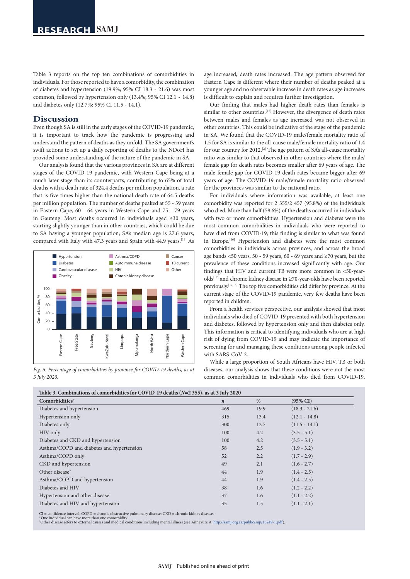Table 3 reports on the top ten combinations of comorbidities in individuals. For those reported to have a comorbidity, the combination of diabetes and hypertension (19.9%; 95% CI 18.3 - 21.6) was most common, followed by hypertension only (13.4%; 95% CI 12.1 - 14.8) and diabetes only (12.7%; 95% CI 11.5 - 14.1).

## **Discussion**

Even though SA is still in the early stages of the COVID-19 pandemic, it is important to track how the pandemic is progressing and understand the pattern of deaths as they unfold. The SA government's swift actions to set up a daily reporting of deaths to the NDoH has provided some understanding of the nature of the pandemic in SA.

Our analysis found that the various provinces in SA are at different stages of the COVID-19 pandemic, with Western Cape being at a much later stage than its counterparts, contributing to 65% of total deaths with a death rate of 324.4 deaths per million population, a rate that is five times higher than the national death rate of 64.5 deaths per million population. The number of deaths peaked at 55 - 59 years in Eastern Cape, 60 - 64 years in Western Cape and 75 - 79 years in Gauteng. Most deaths occurred in individuals aged ≥30 years, starting slightly younger than in other countries, which could be due to SA having a younger population; SA's median age is 27.6 years, compared with Italy with 47.3 years and Spain with 44.9 years.<sup>[14]</sup> As



*Fig. 6. Percentage of comorbidities by province for COVID-19 deaths, as at 3 July 2020.*

age increased, death rates increased. The age pattern observed for Eastern Cape is different where their number of deaths peaked at a younger age and no observable increase in death rates as age increases is difficult to explain and requires further investigation.

Our finding that males had higher death rates than females is similar to other countries.<sup>[15]</sup> However, the divergence of death rates between males and females as age increased was not observed in other countries. This could be indicative of the stage of the pandemic in SA. We found that the COVID-19 male/female mortality ratio of 1.5 for SA is similar to the all-cause male/female mortality ratio of 1.4 for our country for 2012.[2] The age pattern of SA's all-cause mortality ratio was similar to that observed in other countries where the male/ female gap for death rates becomes smaller after 69 years of age. The male-female gap for COVID-19 death rates became bigger after 69 years of age. The COVID-19 male/female mortality ratio observed for the provinces was similar to the national ratio.

For individuals where information was available, at least one comorbidity was reported for 2 355/2 457 (95.8%) of the individuals who died. More than half (58.6%) of the deaths occurred in individuals with two or more comorbidities. Hypertension and diabetes were the most common comorbidities in individuals who were reported to have died from COVID-19; this finding is similar to what was found in Europe.<sup>[16]</sup> Hypertension and diabetes were the most common comorbidities in individuals across provinces, and across the broad age bands  $\lt$  50 years, 50 - 59 years, 60 - 69 years and  $\geq$ 70 years, but the prevalence of these conditions increased significantly with age. Our findings that HIV and current TB were more common in <50-yearolds[17] and chronic kidney disease in  ${\ge}70$  -year-olds have been reported previously.[17,18] The top five comorbidities did differ by province. At the current stage of the COVID-19 pandemic, very few deaths have been reported in children.

From a health services perspective, our analysis showed that most individuals who died of COVID-19 presented with both hypertension and diabetes, followed by hypertension only and then diabetes only. This information is critical to identifying individuals who are at high risk of dying from COVID-19 and may indicate the importance of screening for and managing these conditions among people infected with SARS-CoV-2.

While a large proportion of South Africans have HIV, TB or both diseases, our analysis shows that these conditions were not the most common comorbidities in individuals who died from COVID-19.

| Table 5. Combinations of comorbidaties for COVID-19 deaths (18–4 555), as at 9 July 2020 |                  |      |                     |
|------------------------------------------------------------------------------------------|------------------|------|---------------------|
| Comorbidities*                                                                           | $\boldsymbol{n}$ | %    | $(95\% \text{ CI})$ |
| Diabetes and hypertension                                                                | 469              | 19.9 | $(18.3 - 21.6)$     |
| Hypertension only                                                                        | 315              | 13.4 | $(12.1 - 14.8)$     |
| Diabetes only                                                                            | 300              | 12.7 | $(11.5 - 14.1)$     |
| HIV only                                                                                 | 100              | 4.2  | $(3.5 - 5.1)$       |
| Diabetes and CKD and hypertension                                                        | 100              | 4.2  | $(3.5 - 5.1)$       |
| Asthma/COPD and diabetes and hypertension                                                | 58               | 2.5  | $(1.9 - 3.2)$       |
| Asthma/COPD only                                                                         | 52               | 2.2  | $(1.7 - 2.9)$       |
| CKD and hypertension                                                                     | 49               | 2.1  | $(1.6 - 2.7)$       |
| Other disease <sup>†</sup>                                                               | 44               | 1.9  | $(1.4 - 2.5)$       |
| Asthma/COPD and hypertension                                                             | 44               | 1.9  | $(1.4 - 2.5)$       |
| Diabetes and HIV                                                                         | 38               | 1.6  | $(1.2 - 2.2)$       |
| Hypertension and other disease <sup>†</sup>                                              | 37               | 1.6  | $(1.1 - 2.2)$       |
| Diabetes and HIV and hypertension                                                        | 35               | 1.5  | $(1.1 - 2.1)$       |
|                                                                                          |                  |      |                     |

**Table 3. Combinations of comorbidities for COVID-19 deaths (***N***=2 355), as at 3 July 2020**

CI = confidence interval; COPD = chronic obstructive pulmonary disease; CKD = chronic kidney disease.

\*One individual can have more than one comorbidity. † Other disease refers to external causes and medical conditions including mental illness (see Annexure A, [http://samj.org.za/public/sup/15249-1.pdf\)](http://samj.org.za/public/sup/15249-1.pdf).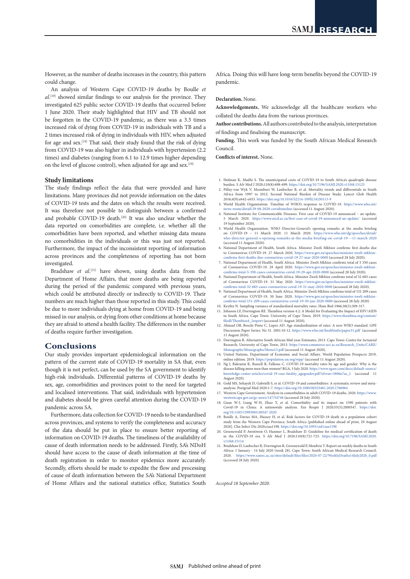However, as the number of deaths increases in the country, this pattern could change.

An analysis of Western Cape COVID-19 deaths by Boulle *et al*. [19] showed similar findings to our analysis for the province. They investigated 625 public sector COVID-19 deaths that occurred before 1 June 2020. Their study highlighted that HIV and TB should not be forgotten in the COVID-19 pandemic, as there was a 3.3 times increased risk of dying from COVID-19 in individuals with TB and a 2 times increased risk of dying in individuals with HIV, when adjusted for age and sex.[19] That said, their study found that the risk of dying from COVID-19 was also higher in individuals with hypertension (2.2 times) and diabetes (ranging from 6.1 to 12.9 times higher depending on the level of glucose control), when adjusted for age and sex.<sup>[19]</sup>

#### **Study limitations**

The study findings reflect the data that were provided and have limitations. Many provinces did not provide information on the dates of COVID-19 tests and the dates on which the results were received. It was therefore not possible to distinguish between a confirmed and probable COVID-19 death.<sup>[20]</sup> It was also unclear whether the data reported on comorbidities are complete, i.e. whether all the comorbidities have been reported, and whether missing data means no comorbidities in the individuals or this was just not reported. Furthermore, the impact of the inconsistent reporting of information across provinces and the completeness of reporting has not been investigated.

Bradshaw *et al.*<sup>[21]</sup> have shown, using deaths data from the Department of Home Affairs, that more deaths are being reported during the period of the pandemic compared with previous years, which could be attributed directly or indirectly to COVID-19. Their numbers are much higher than those reported in this study. This could be due to more individuals dying at home from COVID-19 and being missed in our analysis, or dying from other conditions at home because they are afraid to attend a health facility. The differences in the number of deaths require further investigation.

# **Conclusions**

Our study provides important epidemiological information on the pattern of the current state of COVID-19 mortality in SA that, even though it is not perfect, can be used by the SA government to identify high-risk individuals. Differential patterns of COVID-19 deaths by sex, age, comorbidities and provinces point to the need for targeted and localised interventions. That said, individuals with hypertension and diabetes should be given careful attention during the COVID-19 pandemic across SA.

Furthermore, data collection for COVID-19 needs to be standardised across provinces, and systems to verify the completeness and accuracy of the data should be put in place to ensure better reporting of information on COVID-19 deaths. The timeliness of the availability of cause of death information needs to be addressed. Firstly, SA's NDoH should have access to the cause of death information at the time of death registration in order to monitor epidemics more accurately. Secondly, efforts should be made to expedite the flow and processing of cause of death information between the SA's National Department of Home Affairs and the national statistics office, Statistics South

Africa. Doing this will have long-term benefits beyond the COVID-19 pandemic.

#### **Declaration.** None.

**Acknowledgements.** We acknowledge all the healthcare workers who collated the deaths data from the various provinces.

**Author contributions.** All authors contributed to the analysis, interpretation of findings and finalising the manuscript.

**Funding.** This work was funded by the South African Medical Research Council.

**Conflicts of interest.** None.

- 1. Hofman K, Madhi S. The unanticipated costs of COVID-19 to South Africa's quadruple disease
- burden. S Afr Med J 2020;110(8):698-699. <https://doi.org/10.7196/SAMJ.2020.v110i8.15125> 2. Pillay-van Wyk V, Msemburi W, Laubscher R, et al. Mortality trends and differentials in South Africa from 1997 to 2012: Second National Burden of Disease Study. Lancet Glob Health 2016;4(9):e642-e653. [https://doi.org/10.1016/S2214-109X\(16\)30113-9](https://doi.org/10.1016/S2214-109X(16)30113-9)
- 3. World Health Organization. Timeline of WHO's response to COVID-19. [https://www.who.int/](https://www.who.int/news-room/detail/29-06-2020-covidtimeline) [news-room/detail/29-06-2020-covidtimeline](https://www.who.int/news-room/detail/29-06-2020-covidtimeline) (accessed 11 August 2020).
- 4. National Institute for Communicable Diseases. First case of COVID-19 announced an update. 5 March 2020. <https://www.nicd.ac.za/first-case-of-covid-19-announced-an-update/> (accessed 19 September 2020).
- 5. World Health Organization. WHO Director-General's opening remarks at the media briefing on COVID-19 11 March 2020. 11 March 2020. [https://www.who.int/dg/speeches/detail/](https://www.who.int/dg/speeches/detail/who-director-general-s-opening-remarks-at-the-media-briefing-on-covid-19---11-march-2020) [who-director-general-s-opening-remarks-at-the-media-briefing-on-covid-19---11-march-2020](https://www.who.int/dg/speeches/detail/who-director-general-s-opening-remarks-at-the-media-briefing-on-covid-19---11-march-2020) (accessed 11 August 2020).
- 6. National Department of Health, South Africa. Minister Zweli Mkhize confirms first deaths due to Coronavirus COVID-19. 27 March 2020. [https://www.gov.za/speeches/minister-zweli-mkhize-](https://www.gov.za/speeches/minister-zweli-mkhize-confirms-first-deaths-due-coronavirus-covid-19-27-mar-2020-0000)[confirms-first-deaths-due-coronavirus-covid-19-27-mar-2020-0000](https://www.gov.za/speeches/minister-zweli-mkhize-confirms-first-deaths-due-coronavirus-covid-19-27-mar-2020-0000) (accessed 28 July 2020).
- 7. National Department of Health, South Africa. Minister Zweli Mkhize confirms total of 5 350 cases of Coronavirus COVID-19. 29 April 2020. [https://www.gov.za/speeches/minister-zweli-mkhize-](https://www.gov.za/speeches/minister-zweli-mkhize-confirms-total-5-350-cases-coronavirus-covid-19-29-apr-2020-0000)[confirms-total-5-350-cases-coronavirus-covid-19-29-apr-2020-0000](https://www.gov.za/speeches/minister-zweli-mkhize-confirms-total-5-350-cases-coronavirus-covid-19-29-apr-2020-0000) (accessed 28 July 2020).
- 8. National Department of Health, South Africa. Minister Zweli Mkhize confirms total of 32 683 cases of Coronavirus COVID-19. 31 May 2020. [https://www.gov.za/speeches/minister-zweli-mkhizi-](https://www.gov.za/speeches/minister-zweli-mkhizi-confirms-total-32-683-cases-coronavirus-covid-19-31-may-2020-0000)
- [confirms-total-32-683-cases-coronavirus-covid-19-31-may-2020-0000](https://www.gov.za/speeches/minister-zweli-mkhizi-confirms-total-32-683-cases-coronavirus-covid-19-31-may-2020-0000) (accessed 28 July 2020). 9. National Department of Health, South Africa. Minister Zweli Mkhize confirms total of 151 209 cases of Coronavirus COVID-19. 30 June 2020. [https://www.gov.za/speeches/minister-zweli-mkhize-](https://www.gov.za/speeches/minister-zweli-mkhize-confirms-total-151-209-cases-coronavirus-covid-19-30-jun-2020-0000)[confirms-total-151-209-cases-coronavirus-covid-19-30-jun-2020-0000](https://www.gov.za/speeches/minister-zweli-mkhize-confirms-total-151-209-cases-coronavirus-covid-19-30-jun-2020-0000) (accessed 28 July 2020)
- 10. Keyfitz N. Sampling variance of standardized mortality rates. Hum Biol 1966;38(3):309-317. 11. Johnson LF, Dorrington RE. Thembisa version 4.2: A Model for Evaluating the Impact of HIV/AIDS in South Africa. Cape Town: University of Cape Town, 2019. https://www.thembisa.org [filedl/Thembisa4\\_2report](https://www.thembisa.org/content/filedl/Thembisa4_2report) (accessed 11 August 2020).
- 12. Ahmad OB, Boschi Pinto C, Lopez AD. Age standardization of rates: A new WHO standard. GPE Discussion Paper Series: No 31. 2001:10-12.<https://www.who.int/healthinfo/paper31.pdf> (accessed 11 August 2020).
- 13. Dorrington R. Alternative South African Mid-year Estimates, 2013. Cape Town: Centre for Actuarial<br>Research University of Cape Town. 2013. https://www.commerce.uct.ac.22/Research Unite/CARE/ Research, University of Cape Town, 2013. https://www.comm [Monographs/Monographs/Mono13.pdf](https://www.commerce.uct.ac.za/Research_Units/CARE/Monographs/Monographs/Mono13.pdf) (accessed 11 August 2020).
- 14. United Nations, Department of Economic and Social Affairs. World Population Prospects 2019, online edition. 2019. <https://population.un.org/wpp/> (accessed 11 August 2020).
- 15. Ng J, Bakrania K, Russell R, Falkous C. COVID-19 mortality rates by age and gender: Why is the disease killing more men than women? RGA, 3 July 2020. [https://www.rgare.com/docs/default-source/](https://www.rgare.com/docs/default-source/knowledge-center-articles/covid-19-case-fatality_agegender.pdf?sfvrsn=5806a7ea_2) [knowledge-center-articles/covid-19-case-fatality\\_agegender.pdf?sfvrsn=5806a7ea\\_2](https://www.rgare.com/docs/default-source/knowledge-center-articles/covid-19-case-fatality_agegender.pdf?sfvrsn=5806a7ea_2) (accessed 11 August 2020).
- 16. Gold MS, Sehayek D, Gabrielli S, et al. COVID-19 and comorbidities: A systematic review and meta-analysis. Postgrad Med 2020:1-7. <https://doi.org/10.1080/00325481.2020.1786964>
- 17. Western Cape Government. Analysis in comorbidities in adult COVID-19 deaths. 2020. [https://www.](https://www.westerncape.gov.za/gc-news/147/54748) [westerncape.gov.za/gc-news/147/54748](https://www.westerncape.gov.za/gc-news/147/54748) (accessed 28 July 2020).
- 18. Guan W-J, Liang W-H, Zhao Y, et al. Comorbidity and its impact on 1590 patients with Covid-19 in China: A nationwide analysis. Eur Respir J 2020;55(5):2000547. [https://doi.](https://doi.org/10.1183/13993003.00547-2020) [org/10.1183/13993003.00547-2020](https://doi.org/10.1183/13993003.00547-2020)
- 19. Boulle A, Davies MA, Hussey H, et al. Risk factors for COVID-19 death in a population cohort study from the Western Cape Province, South Africa [published online ahead of print, 29 August<br>2020]. Clin Infect Dis 2020;ciaal 198. https://doi.org/10.1093/cid/ciaal 198<br>20. Groenewald P, Awotiwon O, Hanmer L, Bradshaw D
- in the COVID-19 era. S Afr Med J 2020;110(8):721-723. [https://doi.org/10.7196/SAMJ.2020.](https://doi.org/10.7196/SAMJ.2020.v110i8.15114) [v110i8.15114](https://doi.org/10.7196/SAMJ.2020.v110i8.15114)
- 21. Bradshaw D, Laubscher R, Dorrington R, Groenewald P, Moultrie T. Report on weekly deaths in South Africa: 1 January - 14 July 2020 (week 28). Cape Town: South African Medical Research Council, 2020. [https://www.samrc.ac.za/sites/default/files/files/2020-07-22/WeeklyDeaths14July2020\\_0.pdf](https://www.samrc.ac.za/sites/default/files/files/2020-07-22/WeeklyDeaths14July2020_0.pdf) (accessed 28 July 2020).

*Accepted 18 September 2020.*